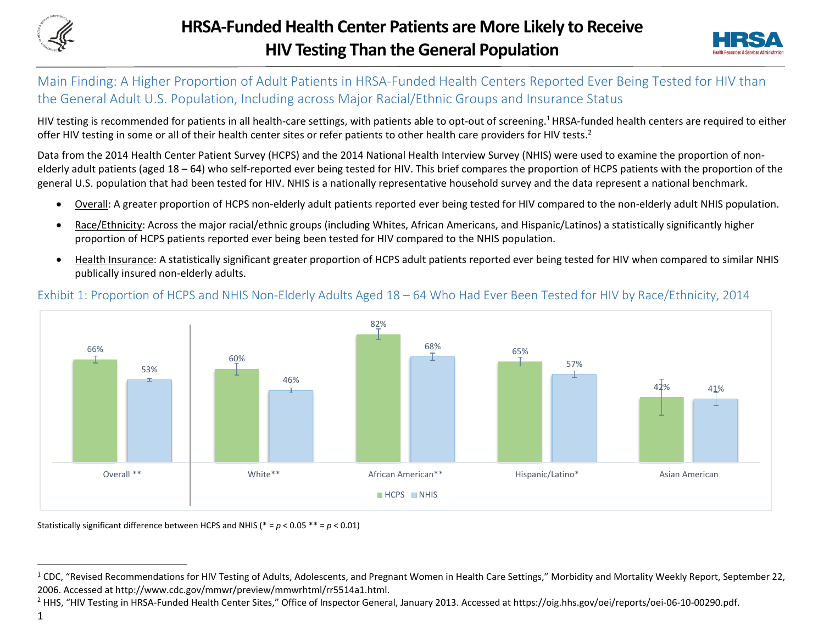



## Main Finding: A Higher Proportion of Adult Patients in HRSA-Funded Health Centers Reported Ever Being Tested for HIV than the General Adult U.S. Population, Including across Major Racial/Ethnic Groups and Insurance Status

HIV testing is recommended for patients in all health-care settings, with patients able to opt-out of screening.<sup>1</sup> HRSA-funded health centers are required to either offer HIV testing in some or all of their health center sites or refer patients to other health care providers for HIV tests.<sup>2</sup>

Data from the 2014 Health Center Patient Survey (HCPS) and the 2014 National Health Interview Survey (NHIS) were used to examine the proportion of nonelderly adult patients (aged 18 – 64) who self-reported ever being tested for HIV. This brief compares the proportion of HCPS patients with the proportion of the general U.S. population that had been tested for HIV. NHIS is a nationally representative household survey and the data represent a national benchmark.

- Overall: A greater proportion of HCPS non-elderly adult patients reported ever being tested for HIV compared to the non-elderly adult NHIS population.
- Race/Ethnicity: Across the major racial/ethnic groups (including Whites, African Americans, and Hispanic/Latinos) a statistically significantly higher proportion of HCPS patients reported ever being been tested for HIV compared to the NHIS population.
- Health Insurance: A statistically significant greater proportion of HCPS adult patients reported ever being tested for HIV when compared to similar NHIS publically insured non-elderly adults.



## Exhibit 1: Proportion of HCPS and NHIS Non-Elderly Adults Aged 18 – 64 Who Had Ever Been Tested for HIV by Race/Ethnicity, 2014

Statistically significant difference between HCPS and NHIS (\* = *p* < 0.05 \*\* = *p* < 0.01)

 $\overline{a}$ 

 $1$  CDC, "Revised Recommendations for HIV Testing of Adults, Adolescents, and Pregnant Women in Health Care Settings," Morbidity and Mortality Weekly Report, September 22, 2006. Accessed at http://www.cdc.gov/mmwr/preview/mmwrhtml/rr5514a1.html.

<sup>&</sup>lt;sup>2</sup> HHS, "HIV Testing in HRSA-Funded Health Center Sites," Office of Inspector General, January 2013. Accessed at https://oig.hhs.gov/oei/reports/oei-06-10-00290.pdf.